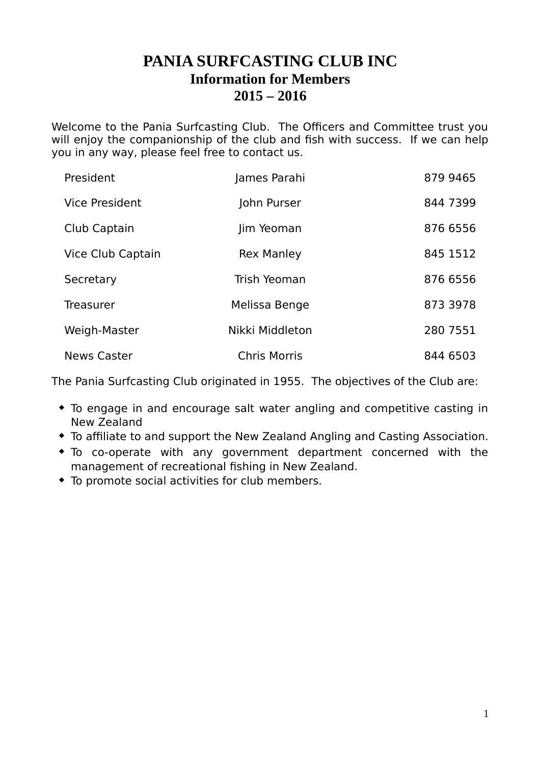## **PANIA SURFCASTING CLUB INC Information for Members 2015 – 2016**

Welcome to the Pania Surfcasting Club. The Officers and Committee trust you will enjoy the companionship of the club and fish with success. If we can help you in any way, please feel free to contact us.

| President             | James Parahi        | 879 9465 |
|-----------------------|---------------------|----------|
| <b>Vice President</b> | John Purser         | 844 7399 |
| Club Captain          | Jim Yeoman          | 876 6556 |
| Vice Club Captain     | <b>Rex Manley</b>   | 845 1512 |
| Secretary             | Trish Yeoman        | 876 6556 |
| <b>Treasurer</b>      | Melissa Benge       | 873 3978 |
| Weigh-Master          | Nikki Middleton     | 280 7551 |
| <b>News Caster</b>    | <b>Chris Morris</b> | 844 6503 |

The Pania Surfcasting Club originated in 1955. The objectives of the Club are:

- To engage in and encourage salt water angling and competitive casting in New Zealand
- To affiliate to and support the New Zealand Angling and Casting Association.
- To co-operate with any government department concerned with the management of recreational fishing in New Zealand.
- To promote social activities for club members.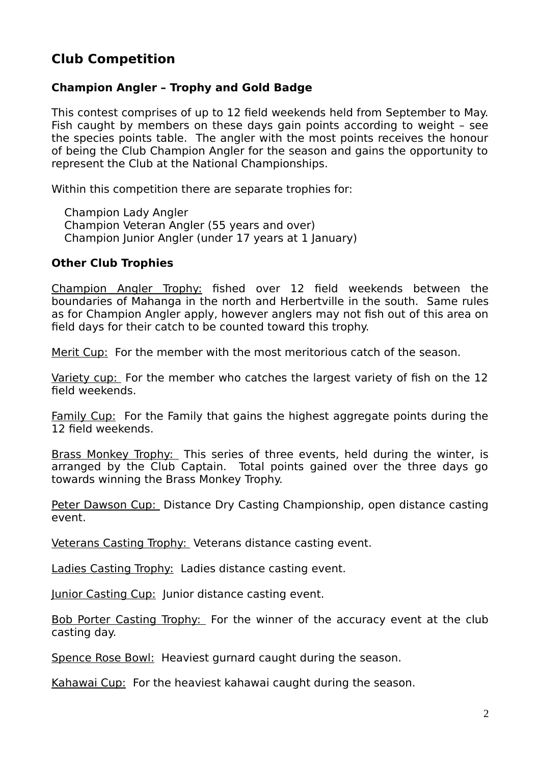## **Club Competition**

### **Champion Angler – Trophy and Gold Badge**

This contest comprises of up to 12 field weekends held from September to May. Fish caught by members on these days gain points according to weight – see the species points table. The angler with the most points receives the honour of being the Club Champion Angler for the season and gains the opportunity to represent the Club at the National Championships.

Within this competition there are separate trophies for:

Champion Lady Angler Champion Veteran Angler (55 years and over) Champion Junior Angler (under 17 years at 1 January)

#### **Other Club Trophies**

Champion Angler Trophy: fished over 12 field weekends between the boundaries of Mahanga in the north and Herbertville in the south. Same rules as for Champion Angler apply, however anglers may not fish out of this area on field days for their catch to be counted toward this trophy.

Merit Cup: For the member with the most meritorious catch of the season.

Variety cup: For the member who catches the largest variety of fish on the 12 field weekends.

Family Cup: For the Family that gains the highest aggregate points during the 12 field weekends.

Brass Monkey Trophy: This series of three events, held during the winter, is arranged by the Club Captain. Total points gained over the three days go towards winning the Brass Monkey Trophy.

Peter Dawson Cup: Distance Dry Casting Championship, open distance casting event.

Veterans Casting Trophy: Veterans distance casting event.

Ladies Casting Trophy: Ladies distance casting event.

Junior Casting Cup: Junior distance casting event.

Bob Porter Casting Trophy: For the winner of the accuracy event at the club casting day.

Spence Rose Bowl: Heaviest gurnard caught during the season.

Kahawai Cup: For the heaviest kahawai caught during the season.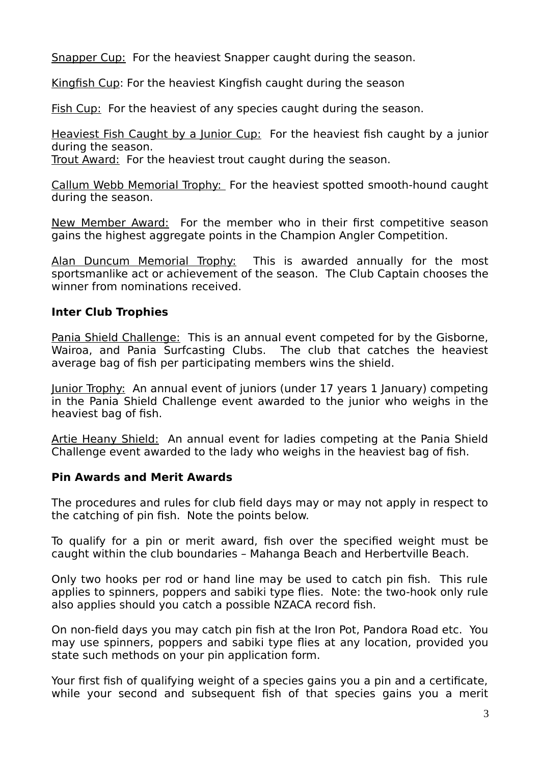Snapper Cup: For the heaviest Snapper caught during the season.

Kingfish Cup: For the heaviest Kingfish caught during the season

Fish Cup: For the heaviest of any species caught during the season.

Heaviest Fish Caught by a Junior Cup: For the heaviest fish caught by a junior during the season.

Trout Award: For the heaviest trout caught during the season.

Callum Webb Memorial Trophy: For the heaviest spotted smooth-hound caught during the season.

New Member Award: For the member who in their first competitive season gains the highest aggregate points in the Champion Angler Competition.

Alan Duncum Memorial Trophy: This is awarded annually for the most sportsmanlike act or achievement of the season. The Club Captain chooses the winner from nominations received

### **Inter Club Trophies**

Pania Shield Challenge: This is an annual event competed for by the Gisborne, Wairoa, and Pania Surfcasting Clubs. The club that catches the heaviest average bag of fish per participating members wins the shield.

Junior Trophy: An annual event of juniors (under 17 years 1 January) competing in the Pania Shield Challenge event awarded to the junior who weighs in the heaviest bag of fish.

Artie Heany Shield: An annual event for ladies competing at the Pania Shield Challenge event awarded to the lady who weighs in the heaviest bag of fish.

### **Pin Awards and Merit Awards**

The procedures and rules for club field days may or may not apply in respect to the catching of pin fish. Note the points below.

To qualify for a pin or merit award, fish over the specified weight must be caught within the club boundaries – Mahanga Beach and Herbertville Beach.

Only two hooks per rod or hand line may be used to catch pin fish. This rule applies to spinners, poppers and sabiki type flies. Note: the two-hook only rule also applies should you catch a possible NZACA record fish.

On non-field days you may catch pin fish at the Iron Pot, Pandora Road etc. You may use spinners, poppers and sabiki type flies at any location, provided you state such methods on your pin application form.

Your first fish of qualifying weight of a species gains you a pin and a certificate, while your second and subsequent fish of that species gains you a merit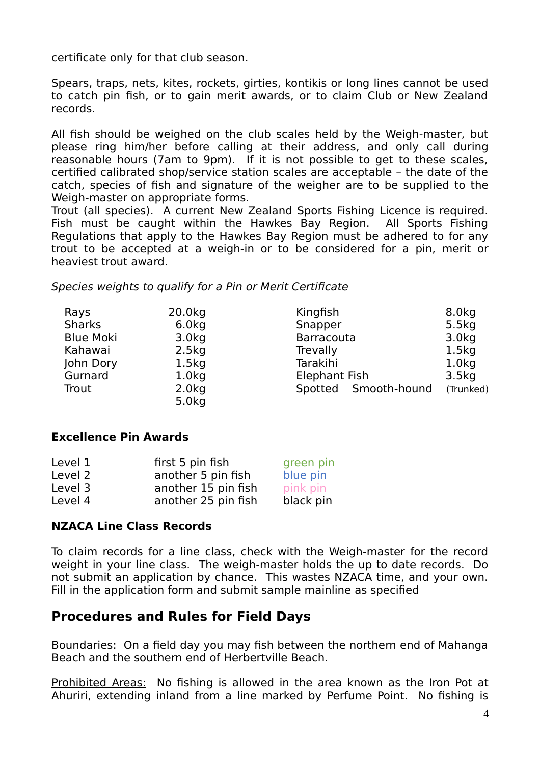certificate only for that club season.

Spears, traps, nets, kites, rockets, girties, kontikis or long lines cannot be used to catch pin fish, or to gain merit awards, or to claim Club or New Zealand records.

All fish should be weighed on the club scales held by the Weigh-master, but please ring him/her before calling at their address, and only call during reasonable hours (7am to 9pm). If it is not possible to get to these scales, certified calibrated shop/service station scales are acceptable – the date of the catch, species of fish and signature of the weigher are to be supplied to the Weigh-master on appropriate forms.

Trout (all species). A current New Zealand Sports Fishing Licence is required. Fish must be caught within the Hawkes Bay Region. All Sports Fishing Regulations that apply to the Hawkes Bay Region must be adhered to for any trout to be accepted at a weigh-in or to be considered for a pin, merit or heaviest trout award.

Species weights to qualify for a Pin or Merit Certificate

| Rays             | 20.0kg            | Kingfish             | 8.0 <sub>kq</sub> |
|------------------|-------------------|----------------------|-------------------|
| <b>Sharks</b>    | 6.0kg             | Snapper              | 5.5kg             |
| <b>Blue Moki</b> | 3.0 <sub>kq</sub> | <b>Barracouta</b>    | 3.0 <sub>kq</sub> |
| Kahawai          | 2.5kg             | Trevally             | 1.5kg             |
| John Dory        | 1.5kg             | Tarakihi             | $1.0k$ g          |
| Gurnard          | 1.0 <sub>kq</sub> | <b>Elephant Fish</b> | 3.5kg             |
| Trout            | 2.0kg             | Spotted Smooth-hound | (Trunked)         |
|                  | 5.0kg             |                      |                   |

#### **Excellence Pin Awards**

| Level 1 | first 5 pin fish    | green pin |
|---------|---------------------|-----------|
| Level 2 | another 5 pin fish  | blue pin  |
| Level 3 | another 15 pin fish | pink pin  |
| Level 4 | another 25 pin fish | black pin |

#### **NZACA Line Class Records**

To claim records for a line class, check with the Weigh-master for the record weight in your line class. The weigh-master holds the up to date records. Do not submit an application by chance. This wastes NZACA time, and your own. Fill in the application form and submit sample mainline as specified

## **Procedures and Rules for Field Days**

Boundaries: On a field day you may fish between the northern end of Mahanga Beach and the southern end of Herbertville Beach.

Prohibited Areas: No fishing is allowed in the area known as the Iron Pot at Ahuriri, extending inland from a line marked by Perfume Point. No fishing is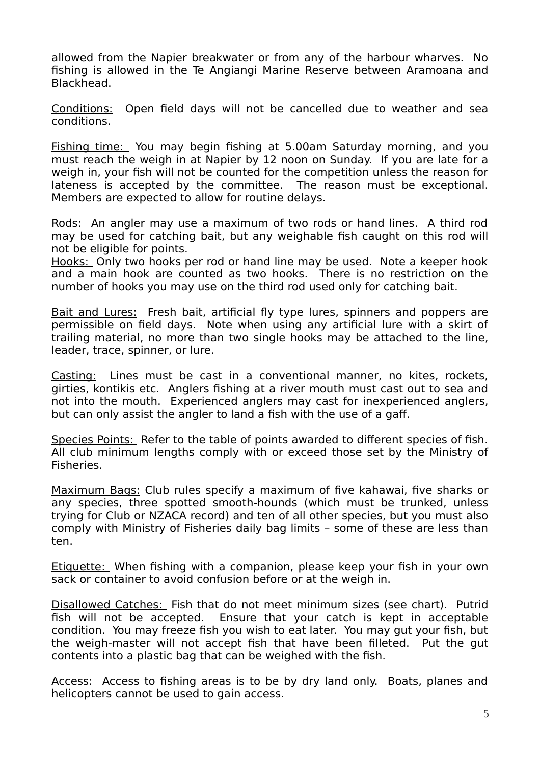allowed from the Napier breakwater or from any of the harbour wharves. No fishing is allowed in the Te Angiangi Marine Reserve between Aramoana and Blackhead.

Conditions: Open field days will not be cancelled due to weather and sea conditions.

Fishing time: You may begin fishing at 5.00am Saturday morning, and you must reach the weigh in at Napier by 12 noon on Sunday. If you are late for a weigh in, your fish will not be counted for the competition unless the reason for lateness is accepted by the committee. The reason must be exceptional. Members are expected to allow for routine delays.

Rods: An angler may use a maximum of two rods or hand lines. A third rod may be used for catching bait, but any weighable fish caught on this rod will not be eligible for points.

Hooks: Only two hooks per rod or hand line may be used. Note a keeper hook and a main hook are counted as two hooks. There is no restriction on the number of hooks you may use on the third rod used only for catching bait.

Bait and Lures: Fresh bait, artificial fly type lures, spinners and poppers are permissible on field days. Note when using any artificial lure with a skirt of trailing material, no more than two single hooks may be attached to the line, leader, trace, spinner, or lure.

Casting: Lines must be cast in a conventional manner, no kites, rockets, girties, kontikis etc. Anglers fishing at a river mouth must cast out to sea and not into the mouth. Experienced anglers may cast for inexperienced anglers, but can only assist the angler to land a fish with the use of a gaff.

Species Points: Refer to the table of points awarded to different species of fish. All club minimum lengths comply with or exceed those set by the Ministry of Fisheries.

Maximum Bags: Club rules specify a maximum of five kahawai, five sharks or any species, three spotted smooth-hounds (which must be trunked, unless trying for Club or NZACA record) and ten of all other species, but you must also comply with Ministry of Fisheries daily bag limits – some of these are less than ten.

Etiquette: When fishing with a companion, please keep your fish in your own sack or container to avoid confusion before or at the weigh in.

Disallowed Catches: Fish that do not meet minimum sizes (see chart). Putrid fish will not be accepted. Ensure that your catch is kept in acceptable condition. You may freeze fish you wish to eat later. You may gut your fish, but the weigh-master will not accept fish that have been filleted. Put the gut contents into a plastic bag that can be weighed with the fish.

Access: Access to fishing areas is to be by dry land only. Boats, planes and helicopters cannot be used to gain access.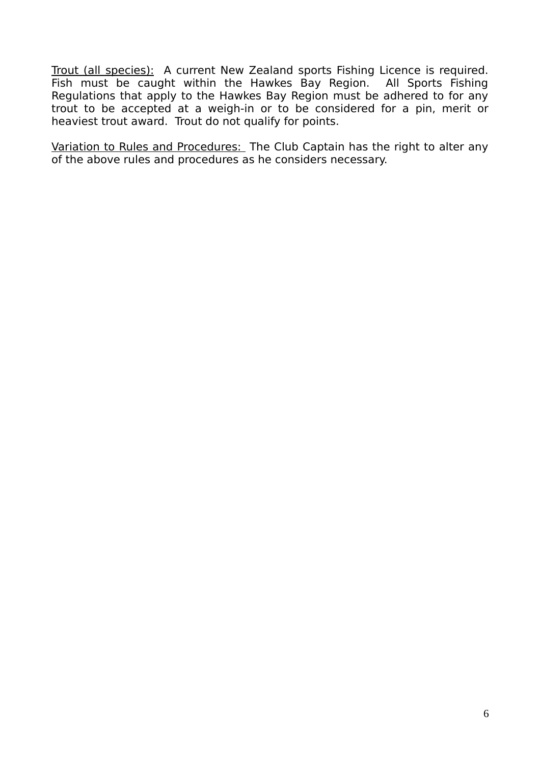Trout (all species): A current New Zealand sports Fishing Licence is required. Fish must be caught within the Hawkes Bay Region. All Sports Fishing Regulations that apply to the Hawkes Bay Region must be adhered to for any trout to be accepted at a weigh-in or to be considered for a pin, merit or heaviest trout award. Trout do not qualify for points.

Variation to Rules and Procedures: The Club Captain has the right to alter any of the above rules and procedures as he considers necessary.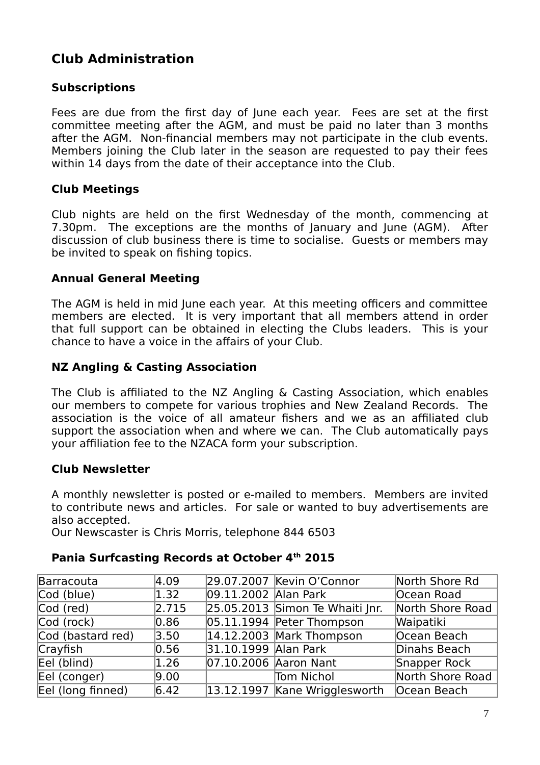## **Club Administration**

### **Subscriptions**

Fees are due from the first day of June each year. Fees are set at the first committee meeting after the AGM, and must be paid no later than 3 months after the AGM. Non-financial members may not participate in the club events. Members joining the Club later in the season are requested to pay their fees within 14 days from the date of their acceptance into the Club.

### **Club Meetings**

Club nights are held on the first Wednesday of the month, commencing at 7.30pm. The exceptions are the months of January and June (AGM). After discussion of club business there is time to socialise. Guests or members may be invited to speak on fishing topics.

### **Annual General Meeting**

The AGM is held in mid June each year. At this meeting officers and committee members are elected. It is very important that all members attend in order that full support can be obtained in electing the Clubs leaders. This is your chance to have a voice in the affairs of your Club.

### **NZ Angling & Casting Association**

The Club is affiliated to the NZ Angling & Casting Association, which enables our members to compete for various trophies and New Zealand Records. The association is the voice of all amateur fishers and we as an affiliated club support the association when and where we can. The Club automatically pays your affiliation fee to the NZACA form your subscription.

### **Club Newsletter**

A monthly newsletter is posted or e-mailed to members. Members are invited to contribute news and articles. For sale or wanted to buy advertisements are also accepted.

Our Newscaster is Chris Morris, telephone 844 6503

### **Pania Surfcasting Records at October 4th 2015**

| Barracouta        | 4.09           |                       | 29.07.2007 Kevin O'Connor                   | North Shore Rd   |
|-------------------|----------------|-----------------------|---------------------------------------------|------------------|
| Cod (blue)        | $ 1.32\rangle$ | 09.11.2002 Alan Park  |                                             | Ocean Road       |
| Cod (red)         | 2.715          |                       | $25.05.2013$ Simon Te Whaiti Jnr.           | North Shore Road |
| Cod (rock)        | $ 0.86\rangle$ |                       | 05.11.1994 Peter Thompson                   | Waipatiki        |
| Cod (bastard red) | 3.50           |                       | $14.12.2003$ Mark Thompson                  | Ocean Beach      |
| Crayfish          | 0.56           | 31.10.1999 Alan Park  |                                             | Dinahs Beach     |
| Eel (blind)       | 1.26           | 07.10.2006 Aaron Nant |                                             | Snapper Rock     |
| Eel (conger)      | 9.00           |                       | Tom Nichol                                  | North Shore Road |
| Eel (long finned) | 6.42           |                       | 13.12.1997 Kane Wrigglesworth   Ocean Beach |                  |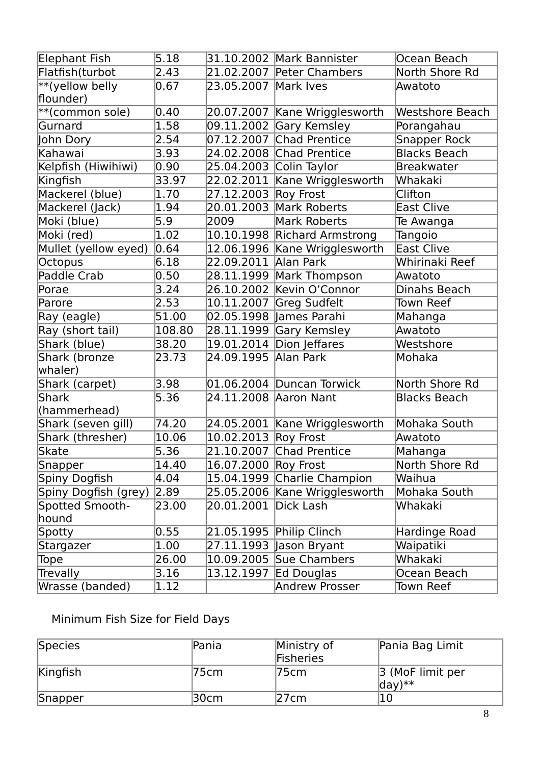| Elephant Fish        | 5.18   |                      | 31.10.2002 Mark Bannister     | Ocean Beach            |
|----------------------|--------|----------------------|-------------------------------|------------------------|
| Flatfish(turbot      | 2.43   | 21.02.2007           | Peter Chambers                | North Shore Rd         |
| $**$ (yellow belly   | 0.67   | 23.05.2007           | Mark Ives                     | Awatoto                |
| flounder)            |        |                      |                               |                        |
| **(common sole)      | 0.40   | 20.07.2007           | Kane Wrigglesworth            | <b>Westshore Beach</b> |
| Gurnard              | 1.58   | 09.11.2002           | Gary Kemsley                  | Porangahau             |
| John Dory            | 2.54   | 07.12.2007           | Chad Prentice                 | <b>Snapper Rock</b>    |
| Kahawai              | 3.93   | 24.02.2008           | <b>Chad Prentice</b>          | <b>Blacks Beach</b>    |
| Kelpfish (Hiwihiwi)  | 0.90   | 25.04.2003           | Colin Taylor                  | <b>Breakwater</b>      |
| Kingfish             | 33.97  | 22.02.2011           | Kane Wrigglesworth            | Whakaki                |
| Mackerel (blue)      | 1.70   | 27.12.2003           | Roy Frost                     | Clifton                |
| Mackerel (Jack)      | 1.94   | 20.01.2003           | Mark Roberts                  | <b>East Clive</b>      |
| Moki (blue)          | 5.9    | 2009                 | <b>Mark Roberts</b>           | Te Awanga              |
| Moki (red)           | 1.02   | 10.10.1998           | <b>Richard Armstrong</b>      | Tangoio                |
| Mullet (yellow eyed) | 0.64   |                      | 12.06.1996 Kane Wrigglesworth | East Clive             |
| Octopus              | 6.18   | 22.09.2011           | Alan Park                     | Whirinaki Reef         |
| Paddle Crab          | 0.50   | 28.11.1999           | Mark Thompson                 | Awatoto                |
| Porae                | 3.24   | 26.10.2002           | Kevin O'Connor                | Dinahs Beach           |
| Parore               | 2.53   | 10.11.2007           | Greg Sudfelt                  | <b>Town Reef</b>       |
| Ray (eagle)          | 51.00  | 02.05.1998           | lames Parahi                  | Mahanga                |
| Ray (short tail)     | 108.80 | 28.11.1999           | Gary Kemsley                  | Awatoto                |
| Shark (blue)         | 38.20  | 19.01.2014           | Dion Jeffares                 | Westshore              |
| Shark (bronze        | 23.73  | 24.09.1995           | Alan Park                     | Mohaka                 |
| whaler)              |        |                      |                               |                        |
| Shark (carpet)       | 3.98   |                      | 01.06.2004 Duncan Torwick     | North Shore Rd         |
| Shark                | 5.36   |                      | 24.11.2008 Aaron Nant         | <b>Blacks Beach</b>    |
| (hammerhead)         |        |                      |                               |                        |
| Shark (seven gill)   | 74.20  |                      | 24.05.2001 Kane Wrigglesworth | Mohaka South           |
| Shark (thresher)     | 10.06  | 10.02.2013           | Roy Frost                     | Awatoto                |
| Skate                | 5.36   | 21.10.2007           | Chad Prentice                 | Mahanga                |
| Snapper              | 14.40  | 16.07.2000 Roy Frost |                               | North Shore Rd         |
| Spiny Dogfish        | 4.04   | 15.04.1999           | Charlie Champion              | Waihua                 |
| Spiny Dogfish (grey) | 2.89   | 25.05.2006           | Kane Wrigglesworth            | Mohaka South           |
| Spotted Smooth-      | 23.00  | 20.01.2001           | Dick Lash                     | Whakaki                |
| hound                |        |                      |                               |                        |
| Spotty               | 0.55   | 21.05.1995           | Philip Clinch                 | Hardinge Road          |
| Stargazer            | 1.00   | 27.11.1993           | Jason Bryant                  | Waipatiki              |
| Tope                 | 26.00  | 10.09.2005           | Sue Chambers                  | Whakaki                |
| Trevally             | 3.16   | 13.12.1997           | Ed Douglas                    | Ocean Beach            |
| Wrasse (banded)      | 1.12   |                      | Andrew Prosser                | Town Reef              |

# Minimum Fish Size for Field Days

| Species  | Pania | Ministry of<br>Fisheries | Pania Bag Limit                           |
|----------|-------|--------------------------|-------------------------------------------|
| Kingfish | 75cm  | 75cm                     | 3 (MoF limit per<br>$\frac{1}{2}$ day) ** |
| Snapper  | 30cm  | 27cm                     | 10                                        |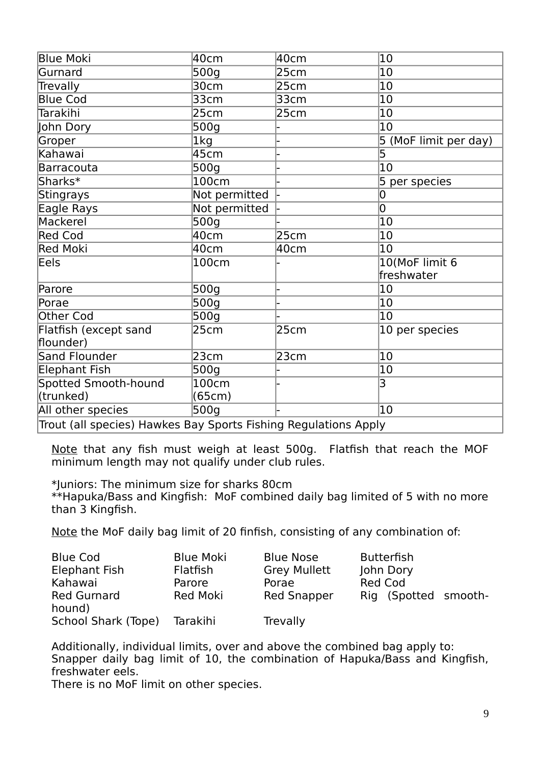| <b>Blue Moki</b>                                                | 40cm          | 40cm | 10                    |
|-----------------------------------------------------------------|---------------|------|-----------------------|
| Gurnard                                                         | 500g          | 25cm | 10                    |
| Trevally                                                        | 30cm          | 25cm | 10                    |
| <b>Blue Cod</b>                                                 | 33cm          | 33cm | $ 10\rangle$          |
| Tarakihi                                                        | 25cm          | 25cm | 10                    |
| John Dory                                                       | 500g          |      | 10                    |
| Groper                                                          | 1kg           |      | 5 (MoF limit per day) |
| Kahawai                                                         | 45cm          |      | 5                     |
| Barracouta                                                      | 500g          |      | 10                    |
| Sharks*                                                         | 100cm         |      | 5<br>per species      |
| Stingrays                                                       | Not permitted |      | 0                     |
| Eagle Rays                                                      | Not permitted |      | 0                     |
| Mackerel                                                        | 500g          |      | $ 10\rangle$          |
| Red Cod                                                         | 40cm          | 25cm | 10                    |
| Red Moki                                                        | 40cm          | 40cm | 10                    |
| Eels                                                            | 100cm         |      | 10(MoF limit 6        |
|                                                                 |               |      | freshwater            |
| Parore                                                          | 500g          |      | 10                    |
| Porae                                                           | 500g          |      | 10                    |
| Other Cod                                                       | 500g          |      | $ 10\rangle$          |
| Flatfish (except sand                                           | 25cm          | 25cm | 10 per species        |
| flounder)                                                       |               |      |                       |
| Sand Flounder                                                   | 23cm          | 23cm | 10                    |
| Elephant Fish                                                   | 500g          |      | 10                    |
| Spotted Smooth-hound                                            | 100cm         |      | 3                     |
| (trunked)                                                       | (65cm)        |      |                       |
| All other species                                               | 500g          |      | 10                    |
| Trout (all species) Hawkes Bay Sports Fishing Regulations Apply |               |      |                       |

Note that any fish must weigh at least 500g. Flatfish that reach the MOF minimum length may not qualify under club rules.

\*Juniors: The minimum size for sharks 80cm

\*\*Hapuka/Bass and Kingfish: MoF combined daily bag limited of 5 with no more than 3 Kingfish.

Note the MoF daily bag limit of 20 finfish, consisting of any combination of:

| <b>Blue Cod</b><br>Elephant Fish        | <b>Blue Moki</b><br><b>Flatfish</b> | <b>Blue Nose</b><br><b>Grey Mullett</b> | <b>Butterfish</b><br>John Dory         |
|-----------------------------------------|-------------------------------------|-----------------------------------------|----------------------------------------|
| Kahawai<br><b>Red Gurnard</b><br>hound) | Parore<br><b>Red Moki</b>           | Porae<br><b>Red Snapper</b>             | <b>Red Cod</b><br>Rig (Spotted smooth- |
| School Shark (Tope)                     | Tarakihi                            | Trevally                                |                                        |

Additionally, individual limits, over and above the combined bag apply to: Snapper daily bag limit of 10, the combination of Hapuka/Bass and Kingfish, freshwater eels.

There is no MoF limit on other species.